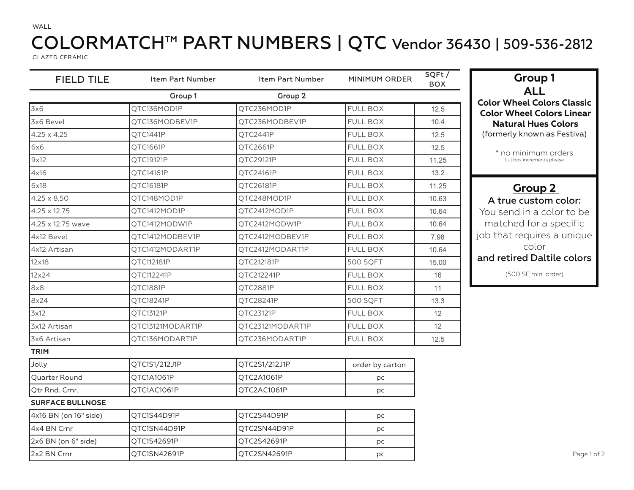## COLORMATCH™ PART NUMBERS | QTC Vendor 36430 | 509-536-2812 COLONIAICH TAIVENUMBERS | Q IN<br>Glazed ceramic

GLAZED CERAMIC

WALL

| <b>FIELD TILE</b>       | <b>Item Part Number</b> | <b>Item Part Number</b> | MINIMUM ORDER   | SQFt/<br><b>BOX</b> | <b>Group 1</b>                                                        |
|-------------------------|-------------------------|-------------------------|-----------------|---------------------|-----------------------------------------------------------------------|
|                         | Group 1                 | Group 2                 |                 |                     | <b>ALL</b>                                                            |
| 3x6                     | QTC136MOD1P             | QTC236MOD1P             | <b>FULL BOX</b> | 12.5                | <b>Color Wheel Colors Classic</b><br><b>Color Wheel Colors Linear</b> |
| 3x6 Bevel               | QTC136MODBEV1P          | QTC236MODBEV1P          | <b>FULL BOX</b> | 10.4                | <b>Natural Hues Colors</b>                                            |
| $4.25 \times 4.25$      | OTC1441P                | QTC2441P                | <b>FULL BOX</b> | 12.5                | (formerly known as Festiva)                                           |
| 6x6                     | QTC1661P                | QTC2661P                | <b>FULL BOX</b> | 12.5                | * no minimum orders                                                   |
| 9x12                    | QTC19121P               | QTC29121P               | <b>FULL BOX</b> | 11.25               | full box increments please                                            |
| 4x16                    | QTC14161P               | QTC24161P               | <b>FULL BOX</b> | 13.2                |                                                                       |
| 6x18                    | QTC16181P               | QTC26181P               | <b>FULL BOX</b> | 11.25               | <b>Group 2</b>                                                        |
| $4.25 \times 8.50$      | QTC148MOD1P             | QTC248MOD1P             | <b>FULL BOX</b> | 10.63               | A true custom color:                                                  |
| $4.25 \times 12.75$     | QTC1412MOD1P            | QTC2412MOD1P            | <b>FULL BOX</b> | 10.64               | You send in a color to be                                             |
| 4.25 x 12.75 wave       | QTC1412MODW1P           | QTC2412MODW1P           | <b>FULL BOX</b> | 10.64               | matched for a specific                                                |
| 4x12 Bevel              | OTC1412MODBEV1P         | QTC2412MODBEV1P         | <b>FULL BOX</b> | 7.98                | job that requires a unique                                            |
| 4x12 Artisan            | QTC1412MODART1P         | QTC2412MODART1P         | <b>FULL BOX</b> | 10.64               | color                                                                 |
| $12\times18$            | OTC112181P              | OTC212181P              | <b>500 SQFT</b> | 15.00               | and retired Daltile colors                                            |
| $12\times24$            | QTC112241P              | QTC212241P              | <b>FULL BOX</b> | 16                  | (500 SF min. order)                                                   |
| 8x8                     | QTC1881P                | QTC2881P                | <b>FULL BOX</b> | 11                  |                                                                       |
| 8x24                    | QTC18241P               | <b>OTC28241P</b>        | <b>500 SOFT</b> | 13.3                |                                                                       |
| 3x12                    | QTC13121P               | QTC23121P               | <b>FULL BOX</b> | 12                  |                                                                       |
| 3x12 Artisan            | QTC13121MODART1P        | QTC23121MODART1P        | <b>FULL BOX</b> | 12                  |                                                                       |
| 3x6 Artisan             | QTC136MODART1P          | QTC236MODART1P          | <b>FULL BOX</b> | 12.5                |                                                                       |
| <b>TRIM</b>             |                         |                         |                 |                     |                                                                       |
| Jolly                   | QTC1S1/212J1P           | QTC2S1/212J1P           | order by carton |                     |                                                                       |
| Quarter Round           | QTC1A1061P              | QTC2A1061P              | рc              |                     |                                                                       |
| Qtr Rnd. Crnr.          | QTC1AC1061P             | QTC2AC1061P             | рc              |                     |                                                                       |
| <b>SURFACE BULLNOSE</b> |                         |                         |                 |                     |                                                                       |
| 4x16 BN (on 16" side)   | QTC1S44D91P             | QTC2S44D91P             | рc              |                     |                                                                       |
| 4x4 BN Crnr             | OTC1SN44D91P            | QTC2SN44D91P            | рc              |                     |                                                                       |
| 2x6 BN (on 6" side)     | QTC1S42691P             | QTC2S42691P             | рc              |                     |                                                                       |
| 2x2 BN Crnr             | QTC1SN42691P            | QTC2SN42691P            | рc              |                     | Page 1                                                                |